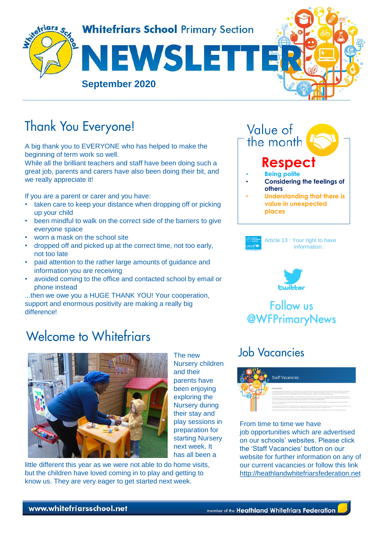

The new

and their parents have been enjoying exploring the Nursery during their stay and play sessions in preparation for starting Nursery next week. It

Nursery children

# **Thank You Everyone!**

A big thank you to EVERYONE who has helped to make the beginning of term work so well.

While all the brilliant teachers and staff have been doing such a great job, parents and carers have also been doing their bit, and we really appreciate it!

If you are a parent or carer and you have:

- taken care to keep your distance when dropping off or picking up your child
- been mindful to walk on the correct side of the barriers to give everyone space
- worn a mask on the school site
- dropped off and picked up at the correct time, not too early, not too late
- paid attention to the rather large amounts of guidance and information you are receiving
- avoided coming to the office and contacted school by email or phone instead

...then we owe you a HUGE THANK YOU! Your cooperation, support and enormous positivity are making a really big difference!

# **Welcome to Whitefriars**



little different this year as we were not able to do home visits, but the children have loved coming in to play and getting to know us. They are very eager to get started next week.



**places**

Article 13 : Your right to have information.



### **Follow us @WFPrimaryNews**

## **Job Vacancies**



From time to time we have job opportunities which are advertised on our schools' websites. Please click the 'Staff Vacancies' button on our website for further information on any of our current vacancies or follow this link [http://heathlandwhitefriarsfederation.net](http://heathlandwhitefriarsfederation.net/)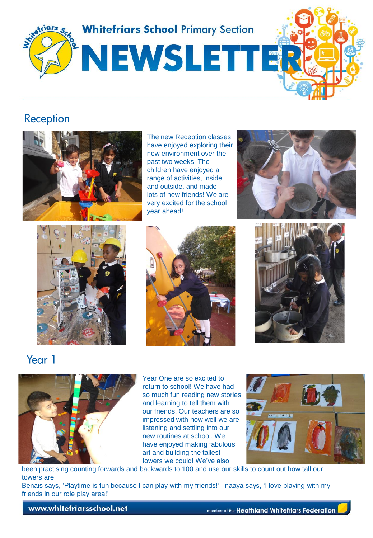

#### **Reception**



The new Reception classes have enjoyed exploring their new environment over the past two weeks. The children have enjoyed a range of activities, inside and outside, and made lots of new friends! We are very excited for the school year ahead!









Year 1



Year One are so excited to return to school! We have had so much fun reading new stories and learning to tell them with our friends. Our teachers are so impressed with how well we are listening and settling into our new routines at school. We have enjoyed making fabulous art and building the tallest towers we could! We've also



been practising counting forwards and backwards to 100 and use our skills to count out how tall our towers are.

Benais says, 'Playtime is fun because I can play with my friends!' Inaaya says, 'I love playing with my friends in our role play area!'

www.whitefriarsschool.net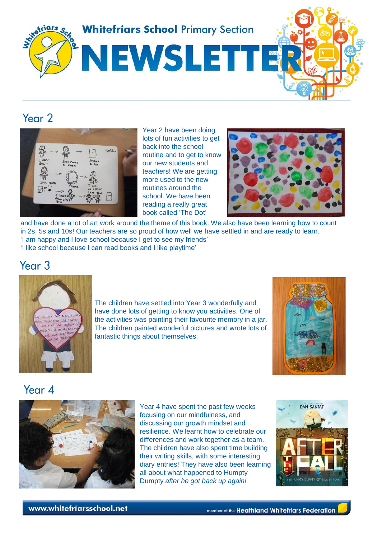

#### Year<sub>2</sub>



Year 2 have been doing lots of fun activities to get back into the school routine and to get to know our new students and teachers! We are getting more used to the new routines around the school. We have been reading a really great book called 'The Dot'



and have done a lot of art work around the theme of this book. We also have been learning how to count in 2s, 5s and 10s! Our teachers are so proud of how well we have settled in and are ready to learn. 'I am happy and I love school because I get to see my friends' 'I like school because I can read books and I like playtime'

Year<sub>3</sub>



The children have settled into Year 3 wonderfully and have done lots of getting to know you activities. One of the activities was painting their favourite memory in a jar. The children painted wonderful pictures and wrote lots of fantastic things about themselves.



#### Year 4



Year 4 have spent the past few weeks focusing on our mindfulness, and discussing our growth mindset and resilience. We learnt how to celebrate our differences and work together as a team. The children have also spent time building their writing skills, with some interesting diary entries! They have also been learning all about what happened to Humpty Dumpty *after he got back up again!*

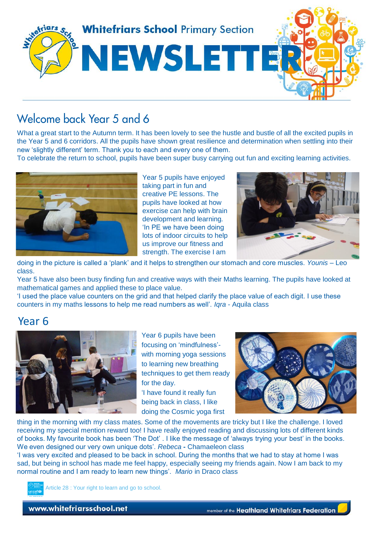

### Welcome back Year 5 and 6

What a great start to the Autumn term. It has been lovely to see the hustle and bustle of all the excited pupils in the Year 5 and 6 corridors. All the pupils have shown great resilience and determination when settling into their new 'slightly different' term. Thank you to each and every one of them.

To celebrate the return to school, pupils have been super busy carrying out fun and exciting learning activities.



Year 5 pupils have enjoyed taking part in fun and creative PE lessons. The pupils have looked at how exercise can help with brain development and learning. 'In PE we have been doing lots of indoor circuits to help us improve our fitness and strength. The exercise I am



doing in the picture is called a 'plank' and it helps to strengthen our stomach and core muscles. *Younis* – Leo class.

Year 5 have also been busy finding fun and creative ways with their Maths learning. The pupils have looked at mathematical games and applied these to place value.

'I used the place value counters on the grid and that helped clarify the place value of each digit. I use these counters in my maths lessons to help me read numbers as well'. *Iqra* - Aquila class

#### Year 6



Year 6 pupils have been focusing on 'mindfulness' with morning yoga sessions to learning new breathing techniques to get them ready for the day.

'I have found it really fun being back in class, I like doing the Cosmic yoga first



thing in the morning with my class mates. Some of the movements are tricky but I like the challenge. I loved receiving my special mention reward too! I have really enjoyed reading and discussing lots of different kinds of books. My favourite book has been 'The Dot' . I like the message of 'always trying your best' in the books. We even designed our very own unique dots'. *Rebeca* **-** Chamaeleon class

'I was very excited and pleased to be back in school. During the months that we had to stay at home I was sad, but being in school has made me feel happy, especially seeing my friends again. Now I am back to my normal routine and I am ready to learn new things'. *Mario* in Draco class



Article 28 : Your right to learn and go to school.

www.whitefriarsschool.net